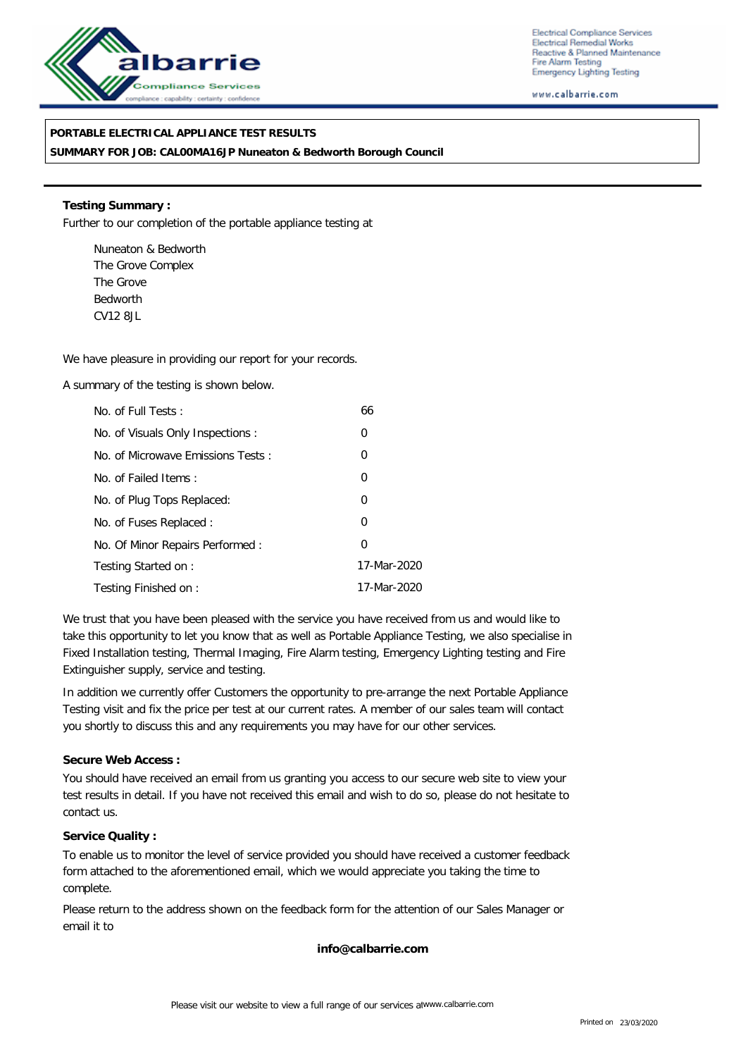

Electrical Compliance Services Electrical Remedial Works Reactive & Planned Maintenance Fire Alarm Testing **Emergency Lighting Testing** 

www.calbarrie.com

## **PORTABLE ELECTRICAL APPLIANCE TEST RESULTS**

**SUMMARY FOR JOB: CAL00MA16JP Nuneaton & Bedworth Borough Council**

**Testing Summary :** Further to our completion of the portable appliance testing at

Nuneaton & Bedworth The Grove Complex The Grove Bedworth CV12 8JL

We have pleasure in providing our report for your records.

A summary of the testing is shown below.

| No. of Full Tests:                | 66          |
|-----------------------------------|-------------|
| No. of Visuals Only Inspections:  | 0           |
| No. of Microwave Emissions Tests: | 0           |
| No. of Failed Items:              | 0           |
| No. of Plug Tops Replaced:        | 0           |
| No. of Fuses Replaced:            | 0           |
| No. Of Minor Repairs Performed:   | 0           |
| Testing Started on:               | 17-Mar-2020 |
| Testing Finished on:              | 17-Mar-2020 |

We trust that you have been pleased with the service you have received from us and would like to take this opportunity to let you know that as well as Portable Appliance Testing, we also specialise in Fixed Installation testing, Thermal Imaging, Fire Alarm testing, Emergency Lighting testing and Fire Extinguisher supply, service and testing.

In addition we currently offer Customers the opportunity to pre-arrange the next Portable Appliance Testing visit and fix the price per test at our current rates. A member of our sales team will contact you shortly to discuss this and any requirements you may have for our other services.

**Secure Web Access :**

You should have received an email from us granting you access to our secure web site to view your test results in detail. If you have not received this email and wish to do so, please do not hesitate to contact us.

**Service Quality :**

To enable us to monitor the level of service provided you should have received a customer feedback form attached to the aforementioned email, which we would appreciate you taking the time to complete.

Please return to the address shown on the feedback form for the attention of our Sales Manager or email it to

**info@calbarrie.com**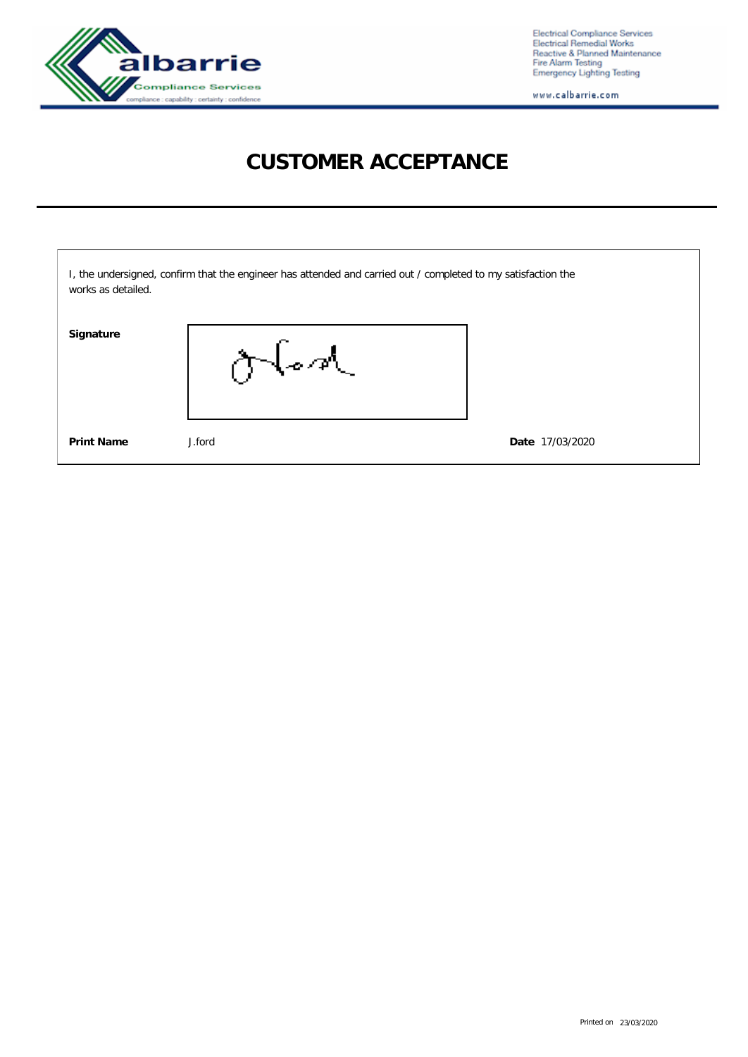

Electrical Compliance Services<br>Electrical Remedial Works<br>Reactive & Planned Maintenance<br>Fire Alarm Testing<br>Emergency Lighting Testing

www.calbarrie.com

# **CUSTOMER ACCEPTANCE**

| works as detailed. | I, the undersigned, confirm that the engineer has attended and carried out / completed to my satisfaction the |                 |
|--------------------|---------------------------------------------------------------------------------------------------------------|-----------------|
| Signature          | ふやん                                                                                                           |                 |
| <b>Print Name</b>  | J.ford                                                                                                        | Date 17/03/2020 |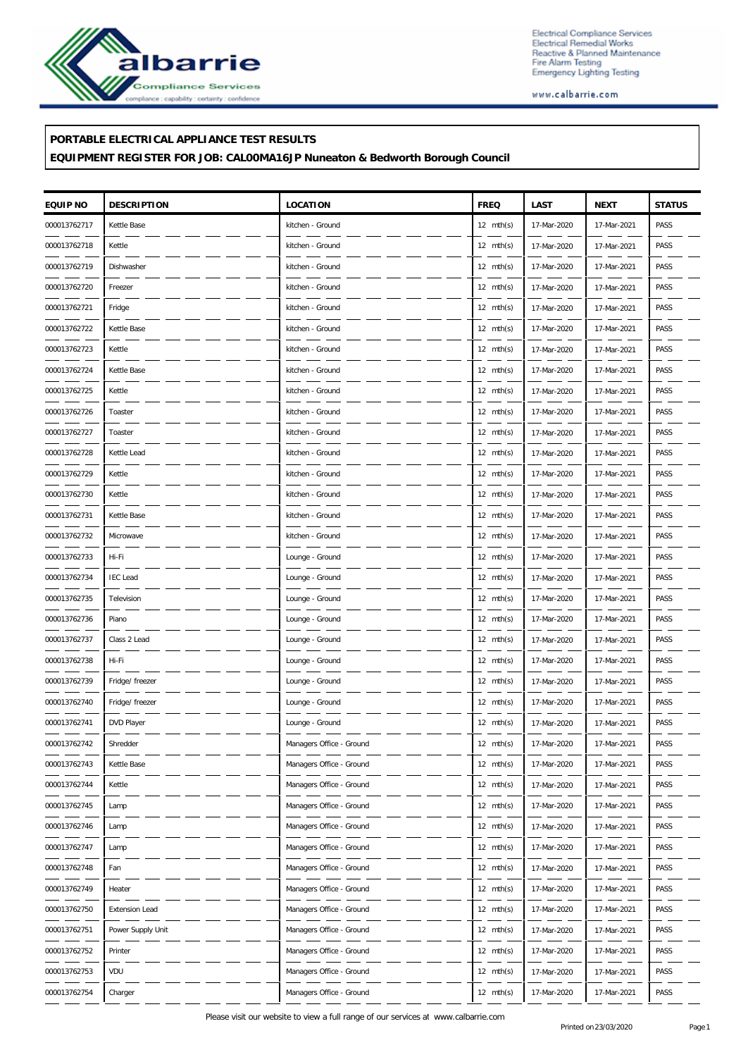

Electrical Compliance Services<br>Electrical Remedial Works<br>Reactive & Planned Maintenance<br>Fire Alarm Testing<br>Emergency Lighting Testing

www.calbarrie.com

#### **PORTABLE ELECTRICAL APPLIANCE TEST RESULTS**

### **EQUIPMENT REGISTER FOR JOB: CAL00MA16JP Nuneaton & Bedworth Borough Council**

| EQUIP NO     | <b>DESCRIPTION</b>    | LOCATION                 | <b>FREQ</b>         | LAST        | <b>NEXT</b> | <b>STATUS</b> |
|--------------|-----------------------|--------------------------|---------------------|-------------|-------------|---------------|
| 000013762717 | Kettle Base           | kitchen - Ground         | $12 \text{ mth(s)}$ | 17-Mar-2020 | 17-Mar-2021 | PASS          |
| 000013762718 | Kettle                | kitchen - Ground         | $12 \text{ mth(s)}$ | 17-Mar-2020 | 17-Mar-2021 | PASS          |
| 000013762719 | Dishwasher            | kitchen - Ground         | $12 \text{ mth(s)}$ | 17-Mar-2020 | 17-Mar-2021 | PASS          |
| 000013762720 | Freezer               | kitchen - Ground         | $12 \text{ mth(s)}$ | 17-Mar-2020 | 17-Mar-2021 | PASS          |
| 000013762721 | Fridge                | kitchen - Ground         | $12 \text{ mth(s)}$ | 17-Mar-2020 | 17-Mar-2021 | PASS          |
| 000013762722 | Kettle Base           | kitchen - Ground         | $12 \text{ mth(s)}$ | 17-Mar-2020 | 17-Mar-2021 | PASS          |
| 000013762723 | Kettle                | kitchen - Ground         | $12 \text{ mth(s)}$ | 17-Mar-2020 | 17-Mar-2021 | PASS          |
| 000013762724 | Kettle Base           | kitchen - Ground         | $12 \text{ mth(s)}$ | 17-Mar-2020 | 17-Mar-2021 | PASS          |
| 000013762725 | Kettle                | kitchen - Ground         | $12 \text{ mth(s)}$ | 17-Mar-2020 | 17-Mar-2021 | PASS          |
| 000013762726 | Toaster               | kitchen - Ground         | $12 \text{ mth(s)}$ | 17-Mar-2020 | 17-Mar-2021 | PASS          |
| 000013762727 | Toaster               | kitchen - Ground         | $12 \text{ mth(s)}$ | 17-Mar-2020 | 17-Mar-2021 | PASS          |
| 000013762728 | Kettle Lead           | kitchen - Ground         | $12 \text{ mth(s)}$ | 17-Mar-2020 | 17-Mar-2021 | PASS          |
| 000013762729 | Kettle                | kitchen - Ground         | $12 \text{ mth(s)}$ | 17-Mar-2020 | 17-Mar-2021 | PASS          |
| 000013762730 | Kettle                | kitchen - Ground         | $12 \text{ mth(s)}$ | 17-Mar-2020 | 17-Mar-2021 | PASS          |
| 000013762731 | Kettle Base           | kitchen - Ground         | 12 $mth(s)$         | 17-Mar-2020 | 17-Mar-2021 | PASS          |
| 000013762732 | Microwave             | kitchen - Ground         | $12 \text{ mth(s)}$ | 17-Mar-2020 | 17-Mar-2021 | PASS          |
| 000013762733 | Hi-Fi                 | Lounge - Ground          | $12 \text{ mth(s)}$ | 17-Mar-2020 | 17-Mar-2021 | PASS          |
| 000013762734 | <b>IEC</b> Lead       | Lounge - Ground          | $12 \text{ mth(s)}$ | 17-Mar-2020 | 17-Mar-2021 | PASS          |
| 000013762735 | Television            | Lounge - Ground          | 12 $mth(s)$         | 17-Mar-2020 | 17-Mar-2021 | PASS          |
| 000013762736 | Piano                 | Lounge - Ground          | $12 \text{ mth(s)}$ | 17-Mar-2020 | 17-Mar-2021 | PASS          |
| 000013762737 | Class 2 Lead          | Lounge - Ground          | $12 \text{ mth(s)}$ | 17-Mar-2020 | 17-Mar-2021 | PASS          |
| 000013762738 | Hi-Fi                 | Lounge - Ground          | $12 \text{ mth(s)}$ | 17-Mar-2020 | 17-Mar-2021 | PASS          |
| 000013762739 | Fridge/ freezer       | Lounge - Ground          | 12 $mth(s)$         | 17-Mar-2020 | 17-Mar-2021 | PASS          |
| 000013762740 | Fridge/ freezer       | Lounge - Ground          | $12 \text{ mth(s)}$ | 17-Mar-2020 | 17-Mar-2021 | PASS          |
| 000013762741 | DVD Player            | Lounge - Ground          | $12 \text{ mth(s)}$ | 17-Mar-2020 | 17-Mar-2021 | PASS          |
| 000013762742 | Shredder              | Managers Office - Ground | $12 \text{ mth(s)}$ | 17-Mar-2020 | 17-Mar-2021 | PASS          |
| 000013762743 | Kettle Base           | Managers Office - Ground | 12 $mth(s)$         | 17-Mar-2020 | 17-Mar-2021 | PASS          |
| 000013762744 | Kettle                | Managers Office - Ground | $12 \text{ mth(s)}$ | 17-Mar-2020 | 17-Mar-2021 | PASS          |
| 000013762745 | Lamp                  | Managers Office - Ground | $12 \text{ mth(s)}$ | 17-Mar-2020 | 17-Mar-2021 | PASS          |
| 000013762746 | Lamp                  | Managers Office - Ground | 12 $mth(s)$         | 17-Mar-2020 | 17-Mar-2021 | PASS          |
| 000013762747 | Lamp                  | Managers Office - Ground | $12 \text{ mth(s)}$ | 17-Mar-2020 | 17-Mar-2021 | PASS          |
| 000013762748 | Fan                   | Managers Office - Ground | $12 \text{ mth(s)}$ | 17-Mar-2020 | 17-Mar-2021 | PASS          |
| 000013762749 | Heater                | Managers Office - Ground | $12 \text{ mth(s)}$ | 17-Mar-2020 | 17-Mar-2021 | PASS          |
| 000013762750 | <b>Extension Lead</b> | Managers Office - Ground | 12 $mth(s)$         | 17-Mar-2020 | 17-Mar-2021 | PASS          |
| 000013762751 | Power Supply Unit     | Managers Office - Ground | $12 \text{ mth(s)}$ | 17-Mar-2020 | 17-Mar-2021 | PASS          |
| 000013762752 | Printer               | Managers Office - Ground | $12 \text{ mth(s)}$ | 17-Mar-2020 | 17-Mar-2021 | PASS          |
| 000013762753 | VDU                   | Managers Office - Ground | $12 \text{ mth(s)}$ | 17-Mar-2020 | 17-Mar-2021 | PASS          |
| 000013762754 | Charger               | Managers Office - Ground | 12 $mth(s)$         | 17-Mar-2020 | 17-Mar-2021 | PASS          |
|              |                       |                          |                     |             |             |               |

Please visit our website to view a full range of our services at www.calbarrie.com<br>
Printed on 23/03/2020<br>
Printed on 23/03/2020